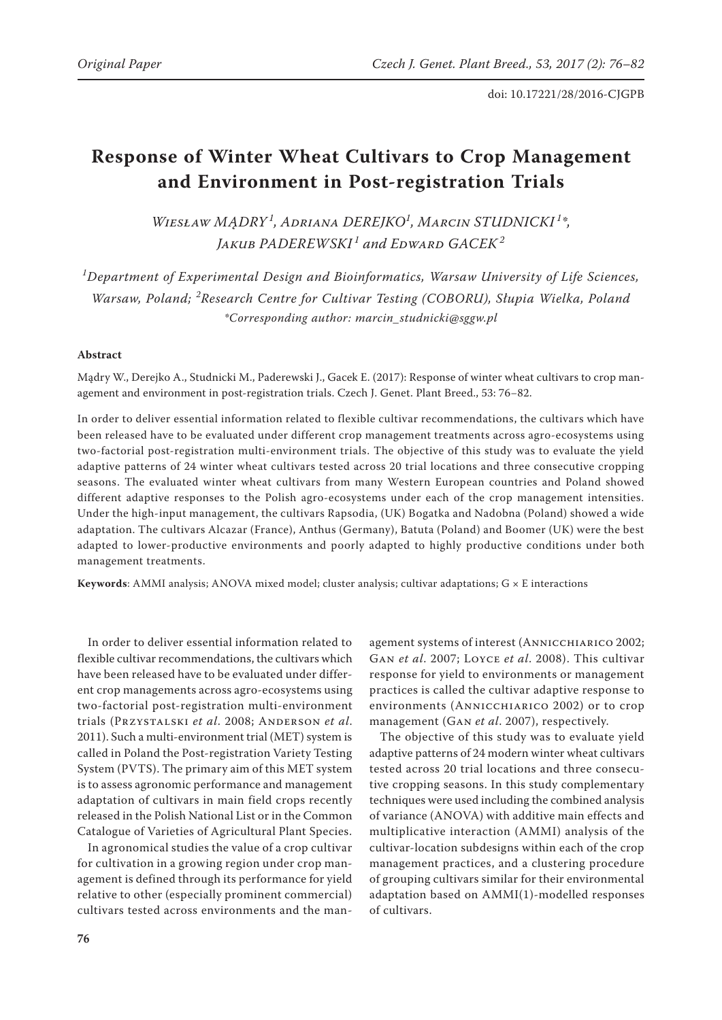# **Response of Winter Wheat Cultivars to Crop Management and Environment in Post-registration Trials**

*Wiesław MĄDRY <sup>1</sup> , Adriana DEREJKO<sup>1</sup> , Marcin STUDNICKI <sup>1</sup> \*, Jakub PADEREWSKI <sup>1</sup> and Edward GACEK<sup>2</sup>*

*1 Department of Experimental Design and Bioinformatics, Warsaw University of Life Sciences, Warsaw, Poland; <sup>2</sup> Research Centre for Cultivar Testing (COBORU), Słupia Wielka, Poland \*Corresponding author: marcin\_studnicki@sggw.pl*

#### **Abstract**

Mądry W., Derejko A., Studnicki M., Paderewski J., Gacek E. (2017): Response of winter wheat cultivars to crop management and environment in post-registration trials. Czech J. Genet. Plant Breed., 53: 76−82.

In order to deliver essential information related to flexible cultivar recommendations, the cultivars which have been released have to be evaluated under different crop management treatments across agro-ecosystems using two-factorial post-registration multi-environment trials. The objective of this study was to evaluate the yield adaptive patterns of 24 winter wheat cultivars tested across 20 trial locations and three consecutive cropping seasons. The evaluated winter wheat cultivars from many Western European countries and Poland showed different adaptive responses to the Polish agro-ecosystems under each of the crop management intensities. Under the high-input management, the cultivars Rapsodia, (UK) Bogatka and Nadobna (Poland) showed a wide adaptation. The cultivars Alcazar (France), Anthus (Germany), Batuta (Poland) and Boomer (UK) were the best adapted to lower-productive environments and poorly adapted to highly productive conditions under both management treatments.

Keywords: AMMI analysis; ANOVA mixed model; cluster analysis; cultivar adaptations; G × E interactions

In order to deliver essential information related to flexible cultivar recommendations, the cultivars which have been released have to be evaluated under different crop managements across agro-ecosystems using two-factorial post-registration multi-environment trials (Przystalski *et al*. 2008; Anderson *et al*. 2011). Such a multi-environment trial (MET) system is called in Poland the Post-registration Variety Testing System (PVTS). The primary aim of this MET system is to assess agronomic performance and management adaptation of cultivars in main field crops recently released in the Polish National List or in the Common Catalogue of Varieties of Agricultural Plant Species.

In agronomical studies the value of a crop cultivar for cultivation in a growing region under crop management is defined through its performance for yield relative to other (especially prominent commercial) cultivars tested across environments and the man-

agement systems of interest (ANNICCHIARICO 2002; Gan *et al*. 2007; Loyce *et al*. 2008). This cultivar response for yield to environments or management practices is called the cultivar adaptive response to environments (Annicchiarico 2002) or to crop management (Gan *et al*. 2007), respectively.

The objective of this study was to evaluate yield adaptive patterns of 24 modern winter wheat cultivars tested across 20 trial locations and three consecutive cropping seasons. In this study complementary techniques were used including the combined analysis of variance (ANOVA) with additive main effects and multiplicative interaction (AMMI) analysis of the cultivar-location subdesigns within each of the crop management practices, and a clustering procedure of grouping cultivars similar for their environmental adaptation based on AMMI(1)-modelled responses of cultivars.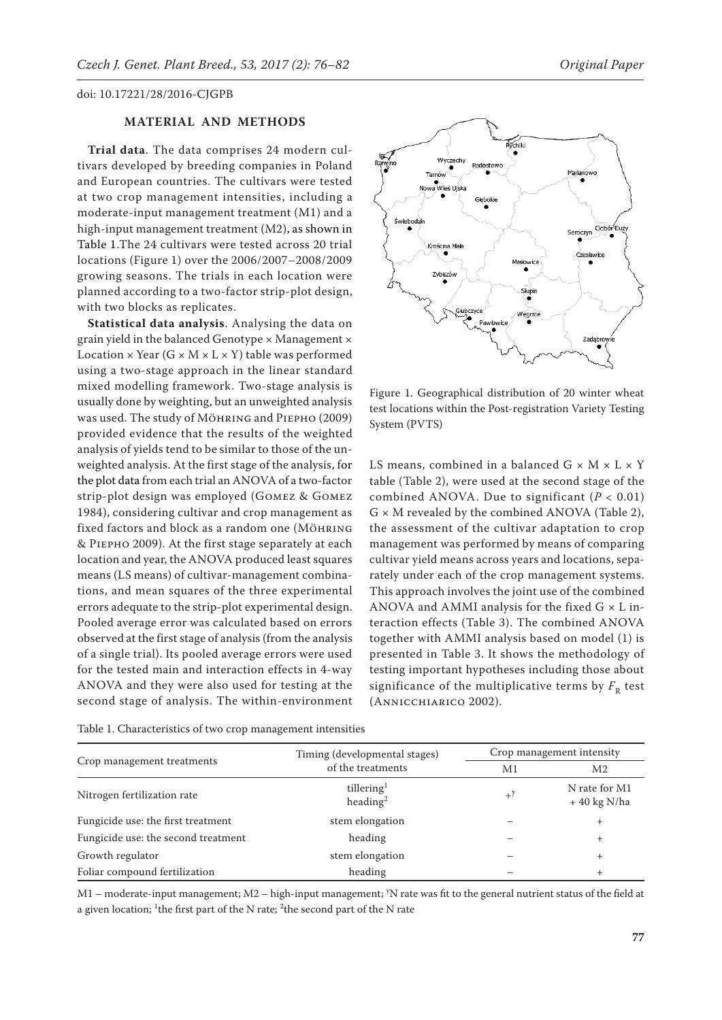#### **MATERIAL AND METHODS**

**Trial data**. The data comprises 24 modern cultivars developed by breeding companies in Poland and European countries. The cultivars were tested at two crop management intensities, including a moderate-input management treatment (M1) and a high-input management treatment (M2), as shown in Table 1.The 24 cultivars were tested across 20 trial locations (Figure 1) over the 2006/2007–2008/2009 growing seasons. The trials in each location were planned according to a two-factor strip-plot design, with two blocks as replicates.

**Statistical data analysis**. Analysing the data on grain yield in the balanced Genotype  $\times$  Management  $\times$ Location  $\times$  Year (G  $\times$  M  $\times$  L  $\times$  Y) table was performed using a two-stage approach in the linear standard mixed modelling framework. Two-stage analysis is usually done by weighting, but an unweighted analysis was used. The study of Möhring and Piepho (2009) provided evidence that the results of the weighted analysis of yields tend to be similar to those of the unweighted analysis. At the first stage of the analysis, for the plot data from each trial an ANOVA of a two-factor strip-plot design was employed (Gomez & Gomez 1984), considering cultivar and crop management as fixed factors and block as a random one (MÖHRING & Piepho 2009). At the first stage separately at each location and year, the ANOVA produced least squares means (LS means) of cultivar-management combinations, and mean squares of the three experimental errors adequate to the strip-plot experimental design. Pooled average error was calculated based on errors observed at the first stage of analysis (from the analysis of a single trial). Its pooled average errors were used for the tested main and interaction effects in 4-way ANOVA and they were also used for testing at the second stage of analysis. The within-environment





Figure 1. Geographical distribution of 20 winter wheat test locations within the Post-registration Variety Testing System (PVTS)

LS means, combined in a balanced  $G \times M \times L \times Y$ table (Table 2), were used at the second stage of the combined ANOVA. Due to significant (*P* < 0.01)  $G \times M$  revealed by the combined ANOVA (Table 2), the assessment of the cultivar adaptation to crop management was performed by means of comparing cultivar yield means across years and locations, separately under each of the crop management systems. This approach involves the joint use of the combined ANOVA and AMMI analysis for the fixed  $G \times L$  interaction effects (Table 3). The combined ANOVA together with AMMI analysis based on model (1) is presented in Table 3. It shows the methodology of testing important hypotheses including those about significance of the multiplicative terms by  $F<sub>R</sub>$  test (Annicchiarico 2002).

|                                     | Timing (developmental stages)                  | Crop management intensity |                                |  |
|-------------------------------------|------------------------------------------------|---------------------------|--------------------------------|--|
| Crop management treatments          | of the treatments                              | M1                        | M2                             |  |
| Nitrogen fertilization rate         | tillering <sup>1</sup><br>heading <sup>2</sup> | $+^y$                     | N rate for M1<br>$+40$ kg N/ha |  |
| Fungicide use: the first treatment  | stem elongation                                |                           | $^{+}$                         |  |
| Fungicide use: the second treatment | heading                                        |                           | $^{+}$                         |  |
| Growth regulator                    | stem elongation                                |                           | $^{+}$                         |  |
| Foliar compound fertilization       | heading                                        |                           | $\pm$                          |  |

M1 – moderate-input management; M2 – high-input management; y N rate was fit to the general nutrient status of the field at a given location; <sup>1</sup>the first part of the N rate; <sup>2</sup>the second part of the N rate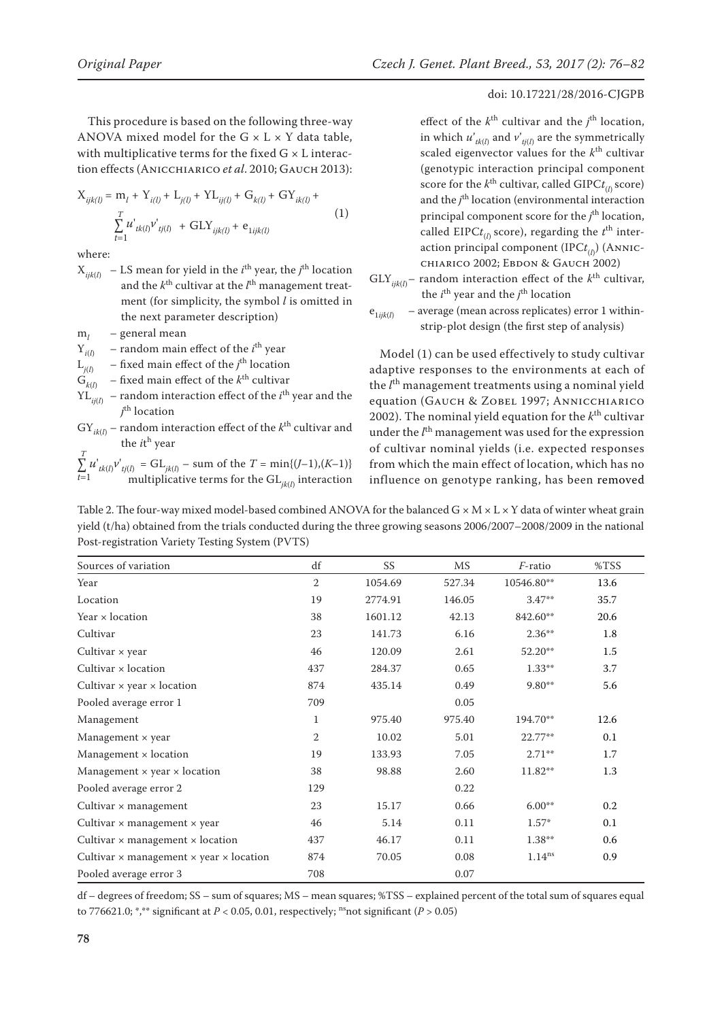This procedure is based on the following three-way ANOVA mixed model for the  $G \times L \times Y$  data table, with multiplicative terms for the fixed  $G \times L$  interaction effects (Anicchiarico *et al*. 2010; Gauch 2013):

$$
\begin{aligned} \mathbf{X}_{ijk(l)} &= \mathbf{m}_l + \mathbf{Y}_{i(l)} + \mathbf{L}_{j(l)} + \mathbf{Y} \mathbf{L}_{ij(l)} + \mathbf{G}_{k(l)} + \mathbf{G} \mathbf{Y}_{ik(l)} + \\ &\sum_{t=1}^T u^{\prime}_{tk(l)} v^{\prime}_{tj(l)} \ + \ \mathbf{G}\mathbf{L} \mathbf{Y}_{ijk(l)} + \mathbf{e}_{1ijk(l)} \end{aligned} \tag{1}
$$

where:

 $X_{ijk(l)}$  – LS mean for yield in the *i*<sup>th</sup> year, the *j*<sup>th</sup> location and the  $k^{\text{th}}$  cultivar at the  $l^{\text{th}}$  management treatment (for simplicity, the symbol *l* is omitted in the next parameter description)

- $m_l$  general mean<br> $Y_{i(l)}$  random main  $Y_{i(l)}$  – random main effect of the *i*<sup>th</sup> year
- $L_{j(l)}$  fixed main effect of the *j*<sup>th</sup> location

 $G_{k(l)}$  – fixed main effect of the *k*<sup>th</sup> cultivar

 $YL_{ij(l)}$  – random interaction effect of the *i*<sup>th</sup> year and the *j* th location

 $GY_{ik(l)}$  – random interaction effect of the  $k<sup>th</sup>$  cultivar and the *i*t<sup>h</sup> year

$$
\sum_{t=1}^{T} u'_{tk(l)} v'_{tj(l)} = GL_{jk(l)} - \text{ sum of the } T = \min\{(J-1), (K-1)\}
$$
  
multiplicative terms for the GL<sub>jk(l)</sub> interaction

## doi: 10.17221/28/2016-CJGPB

effect of the  $k^{\text{th}}$  cultivar and the  $j^{\text{th}}$  location, in which  $u'_{tk(l)}$  and  $v'_{tj(l)}$  are the symmetrically scaled eigenvector values for the *k*th cultivar (genotypic interaction principal component score for the  $k^{\text{th}}$  cultivar, called GIPC $t_{\ell}$  score) and the  $j<sup>th</sup>$  location (environmental interaction principal component score for the *j*<sup>th</sup> location, called  $EIPC_{(l)}$  score), regarding the  $t^{\text{th}}$  interaction principal component (IPC*t*(*l*) ) (Annicchiarico 2002; Ebdon & Gauch 2002)

- $GLY_{ijk(l)}$  random interaction effect of the  $k^{\text{th}}$  cultivar, the  $i^{\text{th}}$  year and the  $j^{\text{th}}$  location
- $e_{1ijkl}$  average (mean across replicates) error 1 withinstrip-plot design (the first step of analysis)

Model (1) can be used effectively to study cultivar adaptive responses to the environments at each of the *l*<sup>th</sup> management treatments using a nominal yield equation (Gauch & Zobel 1997; Annicchiarico 2002). The nominal yield equation for the *k*th cultivar under the *l*<sup>th</sup> management was used for the expression of cultivar nominal yields (i.e. expected responses from which the main effect of location, which has no influence on genotype ranking, has been removed

Table 2. The four-way mixed model-based combined ANOVA for the balanced  $G \times M \times L \times Y$  data of winter wheat grain yield (t/ha) obtained from the trials conducted during the three growing seasons 2006/2007–2008/2009 in the national Post-registration Variety Testing System (PVTS)

| Sources of variation                                         | df             | SS <sub>1</sub> | <b>MS</b> | <i>F</i> -ratio      | %TSS |
|--------------------------------------------------------------|----------------|-----------------|-----------|----------------------|------|
| Year                                                         | $\overline{2}$ | 1054.69         | 527.34    | 10546.80**           | 13.6 |
| Location                                                     | 19             | 2774.91         | 146.05    | $3.47**$             | 35.7 |
| Year x location                                              | 38             | 1601.12         | 42.13     | 842.60**             | 20.6 |
| Cultivar                                                     | 23             | 141.73          | 6.16      | $2.36***$            | 1.8  |
| Cultivar $\times$ year                                       | 46             | 120.09          | 2.61      | $52.20**$            | 1.5  |
| Cultivar $\times$ location                                   | 437            | 284.37          | 0.65      | $1.33**$             | 3.7  |
| Cultivar $\times$ year $\times$ location                     | 874            | 435.14          | 0.49      | $9.80**$             | 5.6  |
| Pooled average error 1                                       | 709            |                 | 0.05      |                      |      |
| Management                                                   | 1              | 975.40          | 975.40    | 194.70**             | 12.6 |
| Management $\times$ year                                     | $\overline{2}$ | 10.02           | 5.01      | 22.77**              | 0.1  |
| Management $\times$ location                                 | 19             | 133.93          | 7.05      | $2.71**$             | 1.7  |
| Management $\times$ year $\times$ location                   | 38             | 98.88           | 2.60      | 11.82**              | 1.3  |
| Pooled average error 2                                       | 129            |                 | 0.22      |                      |      |
| Cultivar $\times$ management                                 | 23             | 15.17           | 0.66      | $6.00**$             | 0.2  |
| Cultivar $\times$ management $\times$ year                   | 46             | 5.14            | 0.11      | $1.57*$              | 0.1  |
| Cultivar $\times$ management $\times$ location               | 437            | 46.17           | 0.11      | $1.38**$             | 0.6  |
| Cultivar $\times$ management $\times$ year $\times$ location | 874            | 70.05           | 0.08      | $1.14$ <sup>ns</sup> | 0.9  |
| Pooled average error 3                                       | 708            |                 | 0.07      |                      |      |

df – degrees of freedom; SS – sum of squares; MS – mean squares; %TSS – explained percent of the total sum of squares equal to 776621.0; \*,\*\* significant at  $P < 0.05$ , 0.01, respectively; <sup>ns</sup>not significant ( $P > 0.05$ )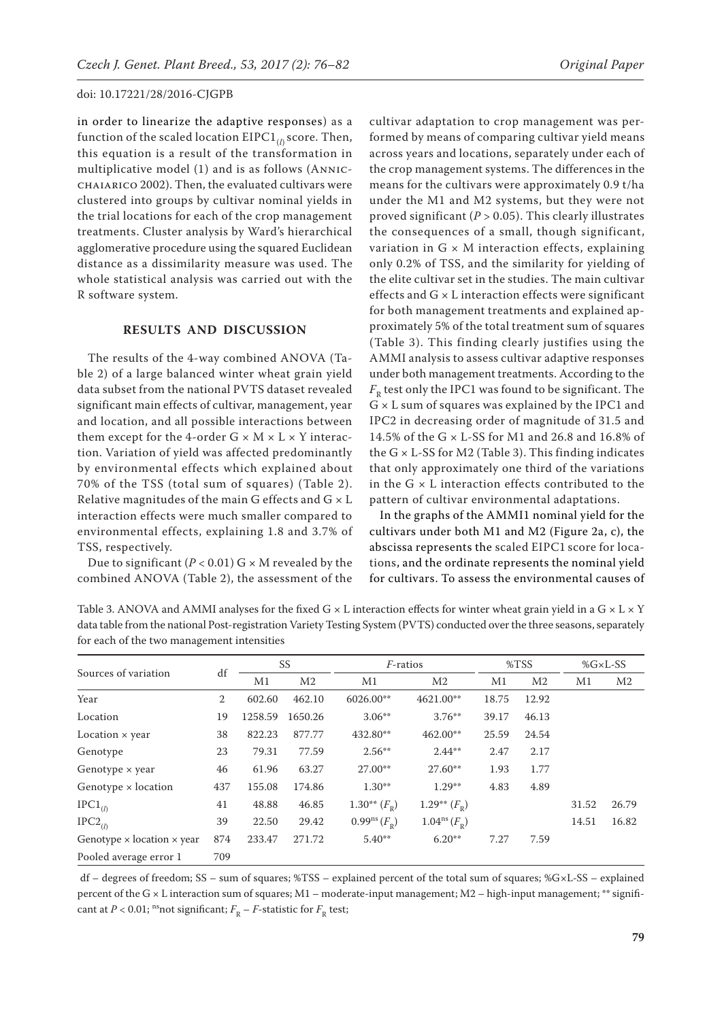in order to linearize the adaptive responses) as a function of the scaled location EIPC1<sub>(*l*)</sub> score. Then, this equation is a result of the transformation in multiplicative model (1) and is as follows (Annicchaiarico 2002). Then, the evaluated cultivars were clustered into groups by cultivar nominal yields in the trial locations for each of the crop management treatments. Cluster analysis by Ward's hierarchical agglomerative procedure using the squared Euclidean distance as a dissimilarity measure was used. The whole statistical analysis was carried out with the R software system.

### **RESULTS AND DISCUSSION**

The results of the 4-way combined ANOVA (Table 2) of a large balanced winter wheat grain yield data subset from the national PVTS dataset revealed significant main effects of cultivar, management, year and location, and all possible interactions between them except for the 4-order  $G \times M \times L \times Y$  interaction. Variation of yield was affected predominantly by environmental effects which explained about 70% of the TSS (total sum of squares) (Table 2). Relative magnitudes of the main G effects and  $G \times L$ interaction effects were much smaller compared to environmental effects, explaining 1.8 and 3.7% of TSS, respectively.

Due to significant ( $P < 0.01$ ) G  $\times$  M revealed by the combined ANOVA (Table 2), the assessment of the

cultivar adaptation to crop management was performed by means of comparing cultivar yield means across years and locations, separately under each of the crop management systems. The differences in the means for the cultivars were approximately 0.9 t/ha under the M1 and M2 systems, but they were not proved significant (*P* > 0.05). This clearly illustrates the consequences of a small, though significant, variation in  $G \times M$  interaction effects, explaining only 0.2% of TSS, and the similarity for yielding of the elite cultivar set in the studies. The main cultivar effects and  $G \times L$  interaction effects were significant for both management treatments and explained approximately 5% of the total treatment sum of squares (Table 3). This finding clearly justifies using the AMMI analysis to assess cultivar adaptive responses under both management treatments. According to the  $F_R$  test only the IPC1 was found to be significant. The G × L sum of squares was explained by the IPC1 and IPC2 in decreasing order of magnitude of 31.5 and 14.5% of the G × L-SS for M1 and 26.8 and 16.8% of the  $G \times L$ -SS for M2 (Table 3). This finding indicates that only approximately one third of the variations in the G  $\times$  L interaction effects contributed to the pattern of cultivar environmental adaptations.

In the graphs of the AMMI1 nominal yield for the cultivars under both M1 and M2 (Figure 2a, c), the abscissa represents the scaled EIPC1 score for locations, and the ordinate represents the nominal yield for cultivars. To assess the environmental causes of

Table 3. ANOVA and AMMI analyses for the fixed G  $\times$  L interaction effects for winter wheat grain yield in a G  $\times$  L  $\times$  Y data table from the national Post-registration Variety Testing System (PVTS) conducted over the three seasons, separately for each of the two management intensities

| Sources of variation                     | df  | SS      |                | $F$ -ratios                      |                            | %TSS  |                | %G×L-SS |                |
|------------------------------------------|-----|---------|----------------|----------------------------------|----------------------------|-------|----------------|---------|----------------|
|                                          |     | M1      | M <sub>2</sub> | M1                               | M <sub>2</sub>             | M1    | M <sub>2</sub> | M1      | M <sub>2</sub> |
| Year                                     | 2   | 602.60  | 462.10         | 6026.00**                        | 4621.00**                  | 18.75 | 12.92          |         |                |
| Location                                 | 19  | 1258.59 | 1650.26        | $3.06**$                         | $3.76***$                  | 39.17 | 46.13          |         |                |
| Location $\times$ year                   | 38  | 822.23  | 877.77         | 432.80**                         | 462.00**                   | 25.59 | 24.54          |         |                |
| Genotype                                 | 23  | 79.31   | 77.59          | $2.56***$                        | $2.44***$                  | 2.47  | 2.17           |         |                |
| Genotype $\times$ year                   | 46  | 61.96   | 63.27          | $27.00**$                        | $27.60**$                  | 1.93  | 1.77           |         |                |
| Genotype $\times$ location               | 437 | 155.08  | 174.86         | $1.30**$                         | $1.29**$                   | 4.83  | 4.89           |         |                |
| $IPC1_{(l)}$                             | 41  | 48.88   | 46.85          | $1.30**$ $(F_R)$                 | 1.29** $(F_{R})$           |       |                | 31.52   | 26.79          |
| $IPC2_{(l)}$                             | 39  | 22.50   | 29.42          | $0.99^{\text{ns}}(F_{\text{R}})$ | $1.04^{\rm ns}(F_{\rm R})$ |       |                | 14.51   | 16.82          |
| Genotype $\times$ location $\times$ year | 874 | 233.47  | 271.72         | $5.40**$                         | $6.20**$                   | 7.27  | 7.59           |         |                |
| Pooled average error 1                   | 709 |         |                |                                  |                            |       |                |         |                |

 df – degrees of freedom; SS – sum of squares; %TSS – explained percent of the total sum of squares; %G×L-SS – explained percent of the G × L interaction sum of squares; M1 – moderate-input management; M2 – high-input management; \*\* significant at  $P < 0.01$ ; <sup>ns</sup>not significant;  $F_p - F$ -statistic for  $F_p$  test;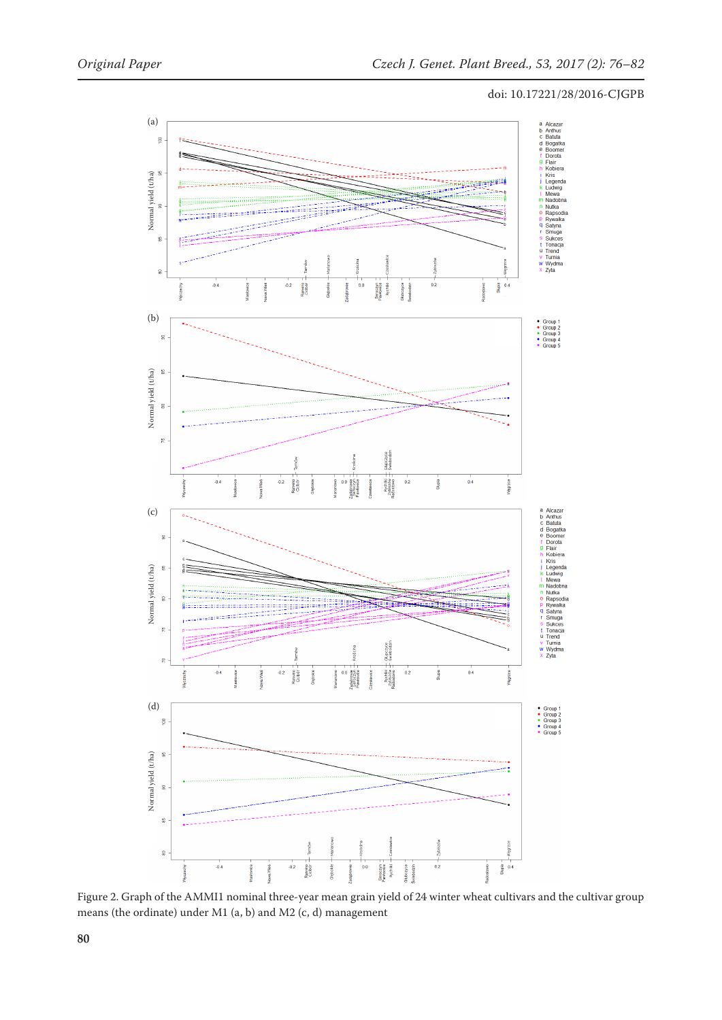

Figure 2. Graph of the AMMI1 nominal three-year mean grain yield of 24 winter wheat cultivars and the cultivar group means (the ordinate) under M1 (a, b) and M2 (c, d) management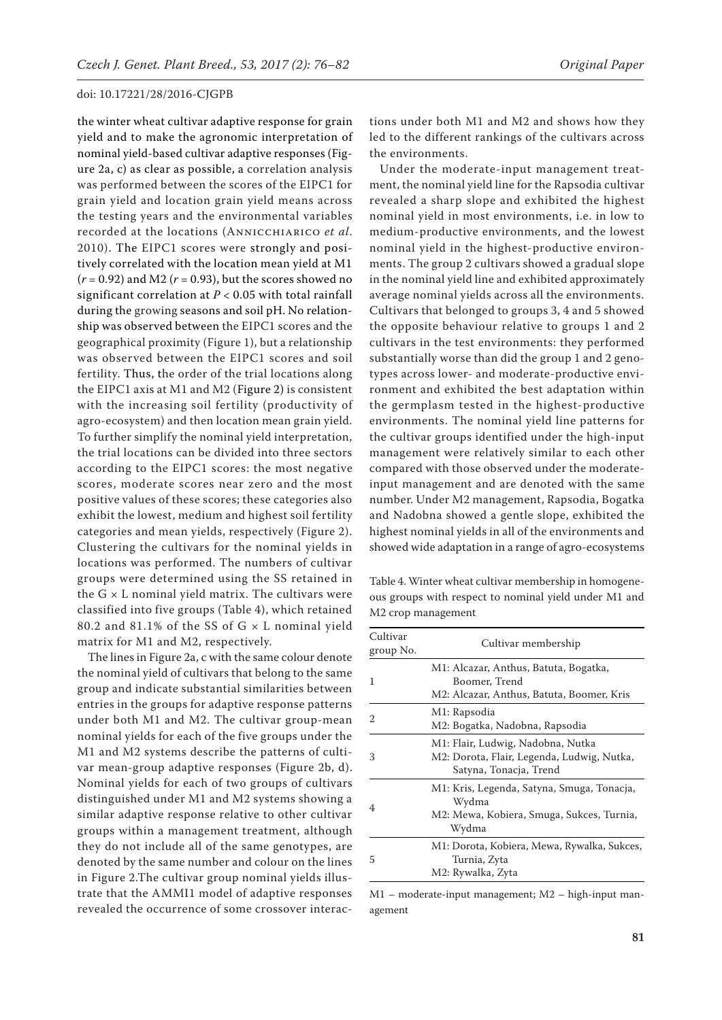the winter wheat cultivar adaptive response for grain yield and to make the agronomic interpretation of nominal yield-based cultivar adaptive responses (Figure 2a, c) as clear as possible, a correlation analysis was performed between the scores of the EIPC1 for grain yield and location grain yield means across the testing years and the environmental variables recorded at the locations (Annicchiarico *et al*. 2010). The EIPC1 scores were strongly and positively correlated with the location mean yield at M1 (*r* = 0.92) and M2 (*r* = 0.93), but the scores showed no significant correlation at *P* < 0.05 with total rainfall during the growing seasons and soil pH. No relationship was observed between the EIPC1 scores and the geographical proximity (Figure 1), but a relationship was observed between the EIPC1 scores and soil fertility. Thus, the order of the trial locations along the EIPC1 axis at M1 and M2 (Figure 2) is consistent with the increasing soil fertility (productivity of agro-ecosystem) and then location mean grain yield. To further simplify the nominal yield interpretation, the trial locations can be divided into three sectors according to the EIPC1 scores: the most negative scores, moderate scores near zero and the most positive values of these scores; these categories also exhibit the lowest, medium and highest soil fertility categories and mean yields, respectively (Figure 2). Clustering the cultivars for the nominal yields in locations was performed. The numbers of cultivar groups were determined using the SS retained in the  $G \times L$  nominal yield matrix. The cultivars were classified into five groups (Table 4), which retained 80.2 and 81.1% of the SS of  $G \times L$  nominal yield matrix for M1 and M2, respectively.

The lines in Figure 2a, c with the same colour denote the nominal yield of cultivars that belong to the same group and indicate substantial similarities between entries in the groups for adaptive response patterns under both M1 and M2. The cultivar group-mean nominal yields for each of the five groups under the M1 and M2 systems describe the patterns of cultivar mean-group adaptive responses (Figure 2b, d). Nominal yields for each of two groups of cultivars distinguished under M1 and M2 systems showing a similar adaptive response relative to other cultivar groups within a management treatment, although they do not include all of the same genotypes, are denoted by the same number and colour on the lines in Figure 2.The cultivar group nominal yields illustrate that the AMMI1 model of adaptive responses revealed the occurrence of some crossover interac-

tions under both M1 and M2 and shows how they led to the different rankings of the cultivars across the environments.

Under the moderate-input management treatment, the nominal yield line for the Rapsodia cultivar revealed a sharp slope and exhibited the highest nominal yield in most environments, i.e. in low to medium-productive environments, and the lowest nominal yield in the highest-productive environments. The group 2 cultivars showed a gradual slope in the nominal yield line and exhibited approximately average nominal yields across all the environments. Cultivars that belonged to groups 3, 4 and 5 showed the opposite behaviour relative to groups 1 and 2 cultivars in the test environments: they performed substantially worse than did the group 1 and 2 genotypes across lower- and moderate-productive environment and exhibited the best adaptation within the germplasm tested in the highest-productive environments. The nominal yield line patterns for the cultivar groups identified under the high-input management were relatively similar to each other compared with those observed under the moderateinput management and are denoted with the same number. Under M2 management, Rapsodia, Bogatka and Nadobna showed a gentle slope, exhibited the highest nominal yields in all of the environments and showed wide adaptation in a range of agro-ecosystems

Table 4. Winter wheat cultivar membership in homogeneous groups with respect to nominal yield under M1 and M2 crop management

| Cultivar<br>group No. | Cultivar membership                                                                                       |  |  |  |
|-----------------------|-----------------------------------------------------------------------------------------------------------|--|--|--|
| 1                     | M1: Alcazar, Anthus, Batuta, Bogatka,<br>Boomer, Trend<br>M2: Alcazar, Anthus, Batuta, Boomer, Kris       |  |  |  |
| 2                     | M1: Rapsodia<br>M2: Bogatka, Nadobna, Rapsodia                                                            |  |  |  |
| 3                     | M1: Flair, Ludwig, Nadobna, Nutka<br>M2: Dorota, Flair, Legenda, Ludwig, Nutka,<br>Satyna, Tonacja, Trend |  |  |  |
| 4                     | M1: Kris, Legenda, Satyna, Smuga, Tonacja,<br>Wydma<br>M2: Mewa, Kobiera, Smuga, Sukces, Turnia,<br>Wydma |  |  |  |
| 5                     | M1: Dorota, Kobiera, Mewa, Rywalka, Sukces,<br>Turnia, Zyta<br>M2: Rywalka, Zyta                          |  |  |  |

M1 – moderate-input management; M2 – high-input management